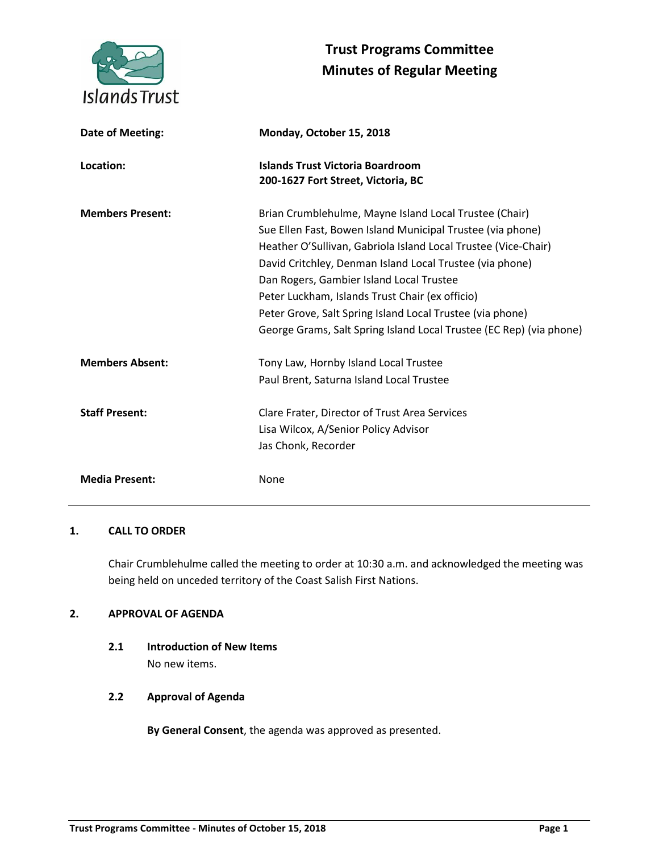

# **Trust Programs Committee Minutes of Regular Meeting**

| Date of Meeting:        | Monday, October 15, 2018                                                                                                                                                                                                                                                                                                                                                                                                                                                              |
|-------------------------|---------------------------------------------------------------------------------------------------------------------------------------------------------------------------------------------------------------------------------------------------------------------------------------------------------------------------------------------------------------------------------------------------------------------------------------------------------------------------------------|
| Location:               | <b>Islands Trust Victoria Boardroom</b><br>200-1627 Fort Street, Victoria, BC                                                                                                                                                                                                                                                                                                                                                                                                         |
| <b>Members Present:</b> | Brian Crumblehulme, Mayne Island Local Trustee (Chair)<br>Sue Ellen Fast, Bowen Island Municipal Trustee (via phone)<br>Heather O'Sullivan, Gabriola Island Local Trustee (Vice-Chair)<br>David Critchley, Denman Island Local Trustee (via phone)<br>Dan Rogers, Gambier Island Local Trustee<br>Peter Luckham, Islands Trust Chair (ex officio)<br>Peter Grove, Salt Spring Island Local Trustee (via phone)<br>George Grams, Salt Spring Island Local Trustee (EC Rep) (via phone) |
| <b>Members Absent:</b>  | Tony Law, Hornby Island Local Trustee<br>Paul Brent, Saturna Island Local Trustee                                                                                                                                                                                                                                                                                                                                                                                                     |
| <b>Staff Present:</b>   | Clare Frater, Director of Trust Area Services<br>Lisa Wilcox, A/Senior Policy Advisor<br>Jas Chonk, Recorder                                                                                                                                                                                                                                                                                                                                                                          |
| <b>Media Present:</b>   | None                                                                                                                                                                                                                                                                                                                                                                                                                                                                                  |

# **1. CALL TO ORDER**

Chair Crumblehulme called the meeting to order at 10:30 a.m. and acknowledged the meeting was being held on unceded territory of the Coast Salish First Nations.

# **2. APPROVAL OF AGENDA**

**2.1 Introduction of New Items** No new items.

# **2.2 Approval of Agenda**

**By General Consent**, the agenda was approved as presented.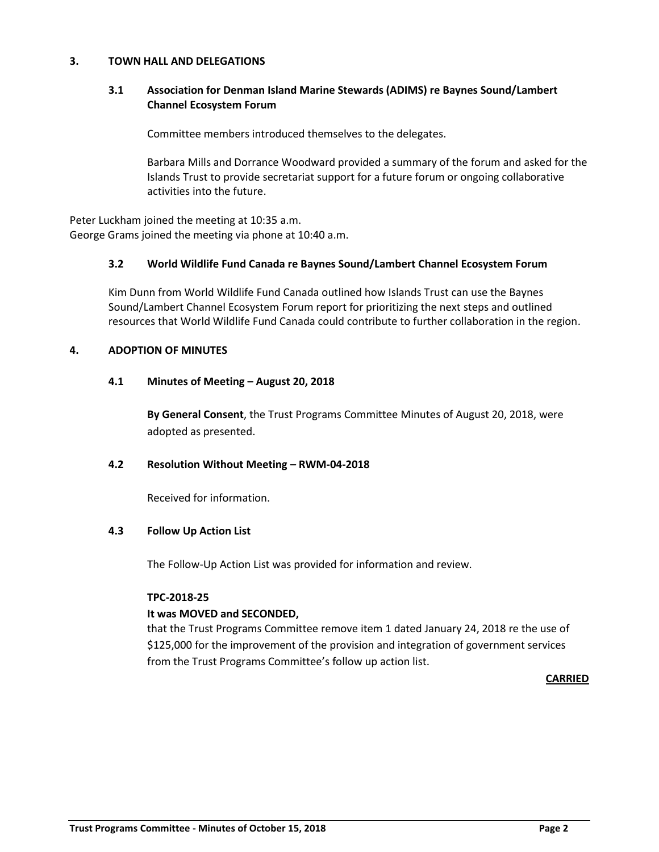## **3. TOWN HALL AND DELEGATIONS**

# **3.1 Association for Denman Island Marine Stewards (ADIMS) re Baynes Sound/Lambert Channel Ecosystem Forum**

Committee members introduced themselves to the delegates.

Barbara Mills and Dorrance Woodward provided a summary of the forum and asked for the Islands Trust to provide secretariat support for a future forum or ongoing collaborative activities into the future.

Peter Luckham joined the meeting at 10:35 a.m. George Grams joined the meeting via phone at 10:40 a.m.

# **3.2 World Wildlife Fund Canada re Baynes Sound/Lambert Channel Ecosystem Forum**

Kim Dunn from World Wildlife Fund Canada outlined how Islands Trust can use the Baynes Sound/Lambert Channel Ecosystem Forum report for prioritizing the next steps and outlined resources that World Wildlife Fund Canada could contribute to further collaboration in the region.

# **4. ADOPTION OF MINUTES**

# **4.1 Minutes of Meeting – August 20, 2018**

**By General Consent**, the Trust Programs Committee Minutes of August 20, 2018, were adopted as presented.

## **4.2 Resolution Without Meeting – RWM-04-2018**

Received for information.

## **4.3 Follow Up Action List**

The Follow-Up Action List was provided for information and review.

## **TPC-2018-25**

## **It was MOVED and SECONDED,**

that the Trust Programs Committee remove item 1 dated January 24, 2018 re the use of \$125,000 for the improvement of the provision and integration of government services from the Trust Programs Committee's follow up action list.

**CARRIED**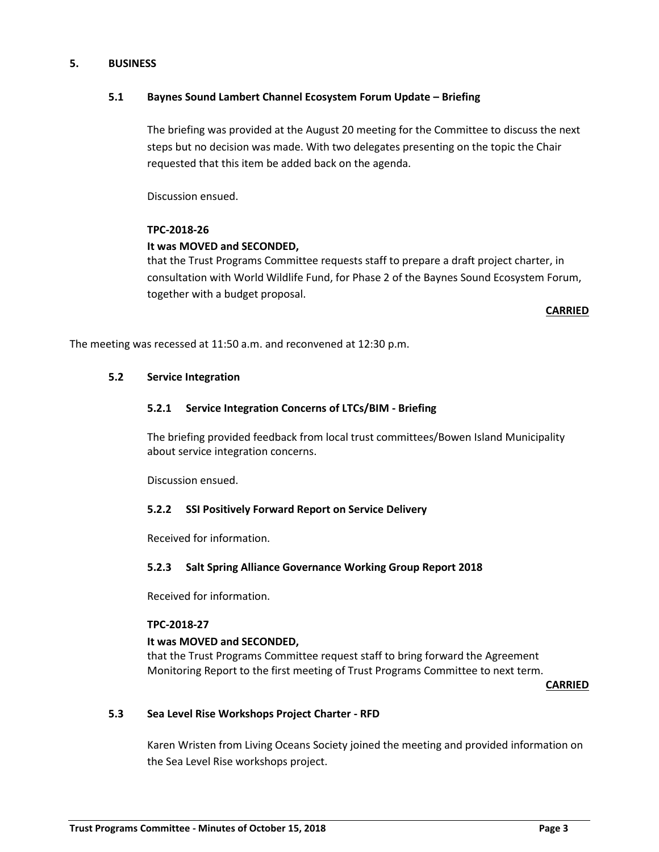# **5. BUSINESS**

# **5.1 Baynes Sound Lambert Channel Ecosystem Forum Update – Briefing**

The briefing was provided at the August 20 meeting for the Committee to discuss the next steps but no decision was made. With two delegates presenting on the topic the Chair requested that this item be added back on the agenda.

Discussion ensued.

# **TPC-2018-26**

# **It was MOVED and SECONDED,**

that the Trust Programs Committee requests staff to prepare a draft project charter, in consultation with World Wildlife Fund, for Phase 2 of the Baynes Sound Ecosystem Forum, together with a budget proposal.

**CARRIED**

The meeting was recessed at 11:50 a.m. and reconvened at 12:30 p.m.

# **5.2 Service Integration**

# **5.2.1 Service Integration Concerns of LTCs/BIM - Briefing**

The briefing provided feedback from local trust committees/Bowen Island Municipality about service integration concerns.

Discussion ensued.

# **5.2.2 SSI Positively Forward Report on Service Delivery**

Received for information.

## **5.2.3 Salt Spring Alliance Governance Working Group Report 2018**

Received for information.

## **TPC-2018-27**

## **It was MOVED and SECONDED,**

that the Trust Programs Committee request staff to bring forward the Agreement Monitoring Report to the first meeting of Trust Programs Committee to next term.

**CARRIED**

# **5.3 Sea Level Rise Workshops Project Charter - RFD**

Karen Wristen from Living Oceans Society joined the meeting and provided information on the Sea Level Rise workshops project.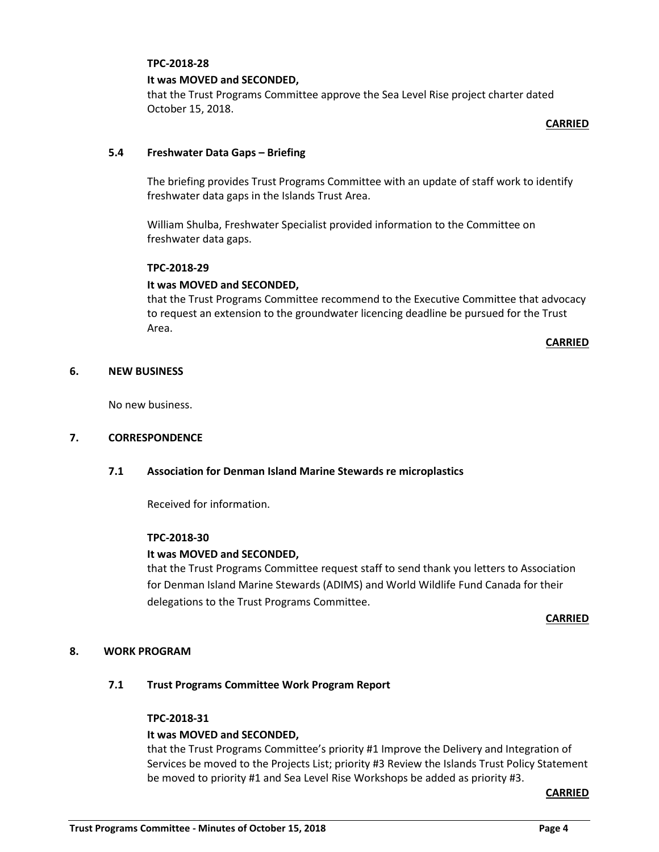#### **TPC-2018-28**

#### **It was MOVED and SECONDED,**

that the Trust Programs Committee approve the Sea Level Rise project charter dated October 15, 2018.

**CARRIED**

#### **5.4 Freshwater Data Gaps – Briefing**

The briefing provides Trust Programs Committee with an update of staff work to identify freshwater data gaps in the Islands Trust Area.

William Shulba, Freshwater Specialist provided information to the Committee on freshwater data gaps.

#### **TPC-2018-29**

## **It was MOVED and SECONDED,**

that the Trust Programs Committee recommend to the Executive Committee that advocacy to request an extension to the groundwater licencing deadline be pursued for the Trust Area.

**CARRIED**

#### **6. NEW BUSINESS**

No new business.

#### **7. CORRESPONDENCE**

#### **7.1 Association for Denman Island Marine Stewards re microplastics**

Received for information.

#### **TPC-2018-30**

#### **It was MOVED and SECONDED,**

that the Trust Programs Committee request staff to send thank you letters to Association for Denman Island Marine Stewards (ADIMS) and World Wildlife Fund Canada for their delegations to the Trust Programs Committee.

**CARRIED**

## **8. WORK PROGRAM**

#### **7.1 Trust Programs Committee Work Program Report**

#### **TPC-2018-31**

## **It was MOVED and SECONDED,**

that the Trust Programs Committee's priority #1 Improve the Delivery and Integration of Services be moved to the Projects List; priority #3 Review the Islands Trust Policy Statement be moved to priority #1 and Sea Level Rise Workshops be added as priority #3.

**CARRIED**